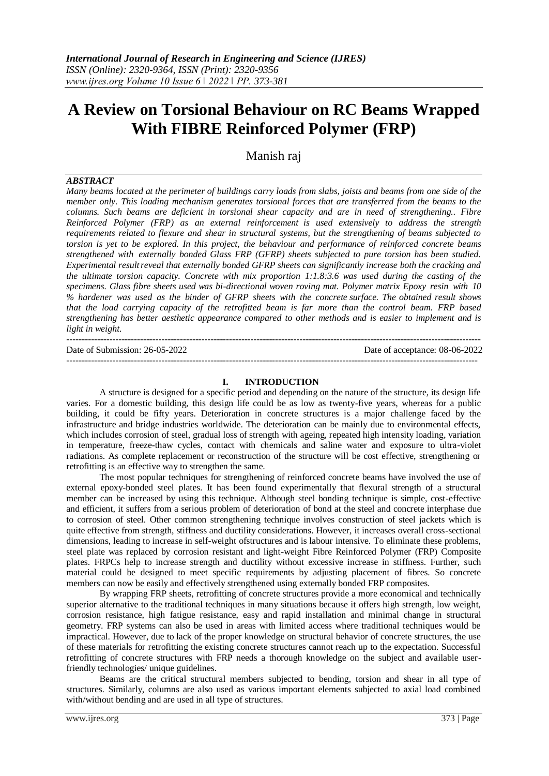# **A Review on Torsional Behaviour on RC Beams Wrapped With FIBRE Reinforced Polymer (FRP)**

Manish raj

## *ABSTRACT*

*Many beams located at the perimeter of buildings carry loads from slabs, joists and beams from one side of the member only. This loading mechanism generates torsional forces that are transferred from the beams to the columns. Such beams are deficient in torsional shear capacity and are in need of strengthening.. Fibre Reinforced Polymer (FRP) as an external reinforcement is used extensively to address the strength requirements related to flexure and shear in structural systems, but the strengthening of beams subjected to torsion is yet to be explored. In this project, the behaviour and performance of reinforced concrete beams strengthened with externally bonded Glass FRP (GFRP) sheets subjected to pure torsion has been studied. Experimental resultreveal that externally bonded GFRP sheets can significantly increase both the cracking and the ultimate torsion capacity. Concrete with mix proportion 1:1.8:3.6 was used during the casting of the specimens. Glass fibre sheets used was bi-directional woven roving mat. Polymer matrix Epoxy resin with 10 % hardener was used as the binder of GFRP sheets with the concrete surface. The obtained result shows that the load carrying capacity of the retrofitted beam is far more than the control beam. FRP based strengthening has better aesthetic appearance compared to other methods and is easier to implement and is light in weight.*

--------------------------------------------------------------------------------------------------------------------------------------- Date of Submission: 26-05-2022 Date of acceptance: 08-06-2022 --------------------------------------------------------------------------------------------------------------------------------------

#### **I. INTRODUCTION**

A structure is designed for a specific period and depending on the nature of the structure, its design life varies. For a domestic building, this design life could be as low as twenty-five years, whereas for a public building, it could be fifty years. Deterioration in concrete structures is a major challenge faced by the infrastructure and bridge industries worldwide. The deterioration can be mainly due to environmental effects, which includes corrosion of steel, gradual loss of strength with ageing, repeated high intensity loading, variation in temperature, freeze-thaw cycles, contact with chemicals and saline water and exposure to ultra-violet radiations. As complete replacement or reconstruction of the structure will be cost effective, strengthening or retrofitting is an effective way to strengthen the same.

The most popular techniques for strengthening of reinforced concrete beams have involved the use of external epoxy-bonded steel plates. It has been found experimentally that flexural strength of a structural member can be increased by using this technique. Although steel bonding technique is simple, cost-effective and efficient, it suffers from a serious problem of deterioration of bond at the steel and concrete interphase due to corrosion of steel. Other common strengthening technique involves construction of steel jackets which is quite effective from strength, stiffness and ductility considerations. However, it increases overall cross-sectional dimensions, leading to increase in self-weight ofstructures and is labour intensive. To eliminate these problems, steel plate was replaced by corrosion resistant and light-weight Fibre Reinforced Polymer (FRP) Composite plates. FRPCs help to increase strength and ductility without excessive increase in stiffness. Further, such material could be designed to meet specific requirements by adjusting placement of fibres. So concrete members can now be easily and effectively strengthened using externally bonded FRP composites.

By wrapping FRP sheets, retrofitting of concrete structures provide a more economical and technically superior alternative to the traditional techniques in many situations because it offers high strength, low weight, corrosion resistance, high fatigue resistance, easy and rapid installation and minimal change in structural geometry. FRP systems can also be used in areas with limited access where traditional techniques would be impractical. However, due to lack of the proper knowledge on structural behavior of concrete structures, the use of these materials for retrofitting the existing concrete structures cannot reach up to the expectation. Successful retrofitting of concrete structures with FRP needs a thorough knowledge on the subject and available userfriendly technologies/ unique guidelines.

Beams are the critical structural members subjected to bending, torsion and shear in all type of structures. Similarly, columns are also used as various important elements subjected to axial load combined with/without bending and are used in all type of structures.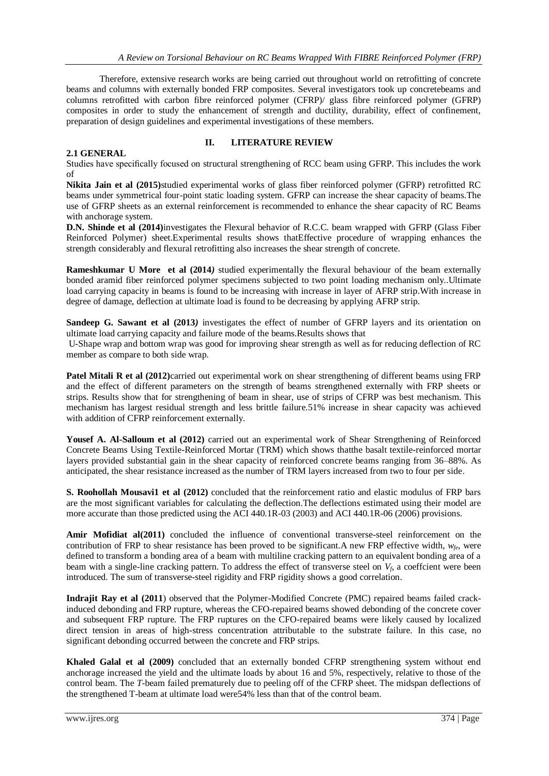Therefore, extensive research works are being carried out throughout world on retrofitting of concrete beams and columns with externally bonded FRP composites. Several investigators took up concretebeams and columns retrofitted with carbon fibre reinforced polymer (CFRP)/ glass fibre reinforced polymer (GFRP) composites in order to study the enhancement of strength and ductility, durability, effect of confinement, preparation of design guidelines and experimental investigations of these members.

## **2.1 GENERAL**

#### **II. LITERATURE REVIEW**

Studies have specifically focused on structural strengthening of RCC beam using GFRP. This includes the work of

**Nikita Jain et al (2015)**studied experimental works of glass fiber reinforced polymer (GFRP) retrofitted RC beams under symmetrical four-point static loading system. GFRP can increase the shear capacity of beams.The use of GFRP sheets as an external reinforcement is recommended to enhance the shear capacity of RC Beams with anchorage system.

**D.N. Shinde et al (2014)**investigates the Flexural behavior of R.C.C. beam wrapped with GFRP (Glass Fiber Reinforced Polymer) sheet.Experimental results shows thatEffective procedure of wrapping enhances the strength considerably and flexural retrofitting also increases the shear strength of concrete.

**Rameshkumar U More et al (2014***)* studied experimentally the flexural behaviour of the beam externally bonded aramid fiber reinforced polymer specimens subjected to two point loading mechanism only..Ultimate load carrying capacity in beams is found to be increasing with increase in layer of AFRP strip.With increase in degree of damage, deflection at ultimate load is found to be decreasing by applying AFRP strip.

**Sandeep G. Sawant et al (2013)** investigates the effect of number of GFRP layers and its orientation on ultimate load carrying capacity and failure mode of the beams.Results shows that

U-Shape wrap and bottom wrap was good for improving shear strength as well as for reducing deflection of RC member as compare to both side wrap.

**Patel Mitali R et al (2012)**carried out experimental work on shear strengthening of different beams using FRP and the effect of different parameters on the strength of beams strengthened externally with FRP sheets or strips. Results show that for strengthening of beam in shear, use of strips of CFRP was best mechanism. This mechanism has largest residual strength and less brittle failure.51% increase in shear capacity was achieved with addition of CFRP reinforcement externally.

**Yousef A. Al-Salloum et al (2012)** carried out an experimental work of Shear Strengthening of Reinforced Concrete Beams Using Textile-Reinforced Mortar (TRM) which shows thatthe basalt textile-reinforced mortar layers provided substantial gain in the shear capacity of reinforced concrete beams ranging from 36–88%. As anticipated, the shear resistance increased as the number of TRM layers increased from two to four per side.

**S. Roohollah Mousavi1 et al (2012)** concluded that the reinforcement ratio and elastic modulus of FRP bars are the most significant variables for calculating the deflection.The deflections estimated using their model are more accurate than those predicted using the ACI 440.1R-03 (2003) and ACI 440.1R-06 (2006) provisions.

**Amir Mofidiat al(2011)** concluded the influence of conventional transverse-steel reinforcement on the contribution of FRP to shear resistance has been proved to be significant. A new FRP effective width,  $w_{f\hat{e}}$ , were defined to transform a bonding area of a beam with multiline cracking pattern to an equivalent bonding area of a beam with a single-line cracking pattern. To address the effect of transverse steel on  $V_f$ , a coeffcient were been introduced. The sum of transverse-steel rigidity and FRP rigidity shows a good correlation.

**Indrajit Ray et al (2011**) observed that the Polymer-Modified Concrete (PMC) repaired beams failed crackinduced debonding and FRP rupture, whereas the CFO-repaired beams showed debonding of the concrete cover and subsequent FRP rupture. The FRP ruptures on the CFO-repaired beams were likely caused by localized direct tension in areas of high-stress concentration attributable to the substrate failure. In this case, no significant debonding occurred between the concrete and FRP strips.

**Khaled Galal et al (2009)** concluded that an externally bonded CFRP strengthening system without end anchorage increased the yield and the ultimate loads by about 16 and 5%, respectively, relative to those of the control beam. The *T*-beam failed prematurely due to peeling off of the CFRP sheet. The midspan deflections of the strengthened T-beam at ultimate load were54% less than that of the control beam.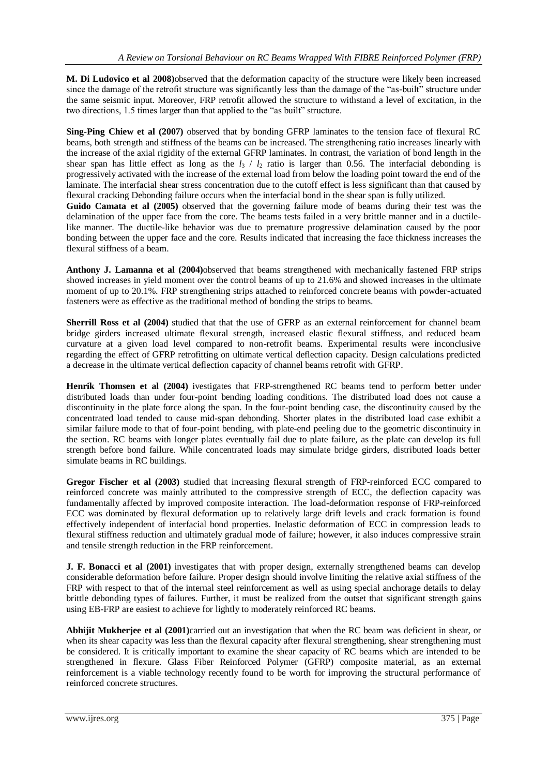**M. Di Ludovico et al 2008)**observed that the deformation capacity of the structure were likely been increased since the damage of the retrofit structure was significantly less than the damage of the "as-built" structure under the same seismic input. Moreover, FRP retrofit allowed the structure to withstand a level of excitation, in the two directions, 1.5 times larger than that applied to the "as built" structure.

**Sing-Ping Chiew et al (2007)** observed that by bonding GFRP laminates to the tension face of flexural RC beams, both strength and stiffness of the beams can be increased. The strengthening ratio increases linearly with the increase of the axial rigidity of the external GFRP laminates. In contrast, the variation of bond length in the shear span has little effect as long as the  $l_3$  /  $l_2$  ratio is larger than 0.56. The interfacial debonding is progressively activated with the increase of the external load from below the loading point toward the end of the laminate. The interfacial shear stress concentration due to the cutoff effect is less significant than that caused by flexural cracking Debonding failure occurs when the interfacial bond in the shear span is fully utilized.

**Guido Camata et al (2005)** observed that the governing failure mode of beams during their test was the delamination of the upper face from the core. The beams tests failed in a very brittle manner and in a ductilelike manner. The ductile-like behavior was due to premature progressive delamination caused by the poor bonding between the upper face and the core. Results indicated that increasing the face thickness increases the flexural stiffness of a beam.

**Anthony J. Lamanna et al (2004)**observed that beams strengthened with mechanically fastened FRP strips showed increases in yield moment over the control beams of up to 21.6% and showed increases in the ultimate moment of up to 20.1%. FRP strengthening strips attached to reinforced concrete beams with powder-actuated fasteners were as effective as the traditional method of bonding the strips to beams.

**Sherrill Ross et al (2004)** studied that that the use of GFRP as an external reinforcement for channel beam bridge girders increased ultimate flexural strength, increased elastic flexural stiffness, and reduced beam curvature at a given load level compared to non-retrofit beams. Experimental results were inconclusive regarding the effect of GFRP retrofitting on ultimate vertical deflection capacity. Design calculations predicted a decrease in the ultimate vertical deflection capacity of channel beams retrofit with GFRP.

**Henrik Thomsen et al (2004)** ivestigates that FRP-strengthened RC beams tend to perform better under distributed loads than under four-point bending loading conditions. The distributed load does not cause a discontinuity in the plate force along the span. In the four-point bending case, the discontinuity caused by the concentrated load tended to cause mid-span debonding. Shorter plates in the distributed load case exhibit a similar failure mode to that of four-point bending, with plate-end peeling due to the geometric discontinuity in the section. RC beams with longer plates eventually fail due to plate failure, as the plate can develop its full strength before bond failure. While concentrated loads may simulate bridge girders, distributed loads better simulate beams in RC buildings.

**Gregor Fischer et al (2003)** studied that increasing flexural strength of FRP-reinforced ECC compared to reinforced concrete was mainly attributed to the compressive strength of ECC, the deflection capacity was fundamentally affected by improved composite interaction. The load-deformation response of FRP-reinforced ECC was dominated by flexural deformation up to relatively large drift levels and crack formation is found effectively independent of interfacial bond properties. Inelastic deformation of ECC in compression leads to flexural stiffness reduction and ultimately gradual mode of failure; however, it also induces compressive strain and tensile strength reduction in the FRP reinforcement.

**J. F. Bonacci et al (2001)** investigates that with proper design, externally strengthened beams can develop considerable deformation before failure. Proper design should involve limiting the relative axial stiffness of the FRP with respect to that of the internal steel reinforcement as well as using special anchorage details to delay brittle debonding types of failures. Further, it must be realized from the outset that significant strength gains using EB-FRP are easiest to achieve for lightly to moderately reinforced RC beams.

**Abhijit Mukherjee et al (2001)**carried out an investigation that when the RC beam was deficient in shear, or when its shear capacity was less than the flexural capacity after flexural strengthening, shear strengthening must be considered. It is critically important to examine the shear capacity of RC beams which are intended to be strengthened in flexure. Glass Fiber Reinforced Polymer (GFRP) composite material, as an external reinforcement is a viable technology recently found to be worth for improving the structural performance of reinforced concrete structures.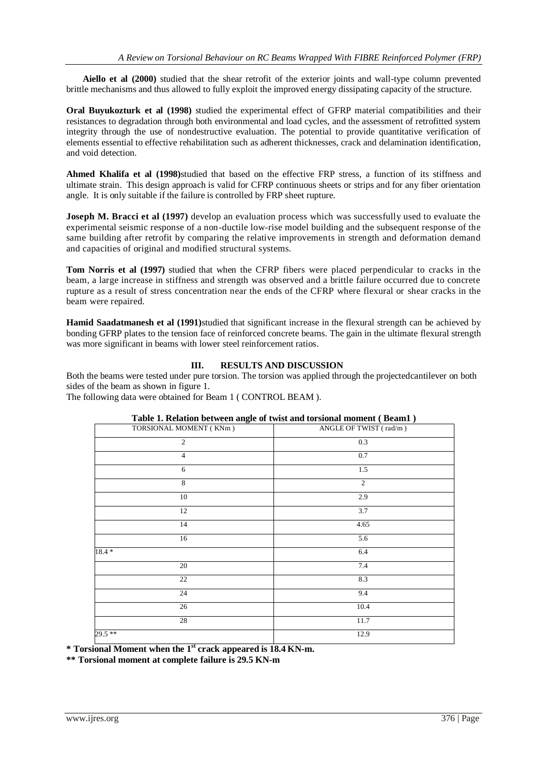**Aiello et al (2000)** studied that the shear retrofit of the exterior joints and wall-type column prevented brittle mechanisms and thus allowed to fully exploit the improved energy dissipating capacity of the structure.

**Oral Buyukozturk et al (1998)** studied the experimental effect of GFRP material compatibilities and their resistances to degradation through both environmental and load cycles, and the assessment of retrofitted system integrity through the use of nondestructive evaluation. The potential to provide quantitative verification of elements essential to effective rehabilitation such as adherent thicknesses, crack and delamination identification, and void detection.

**Ahmed Khalifa et al (1998)**studied that based on the effective FRP stress, a function of its stiffness and ultimate strain. This design approach is valid for CFRP continuous sheets or strips and for any fiber orientation angle. It is only suitable if the failure is controlled by FRP sheet rupture.

**Joseph M. Bracci et al (1997)** develop an evaluation process which was successfully used to evaluate the experimental seismic response of a non-ductile low-rise model building and the subsequent response of the same building after retrofit by comparing the relative improvements in strength and deformation demand and capacities of original and modified structural systems.

**Tom Norris et al (1997)** studied that when the CFRP fibers were placed perpendicular to cracks in the beam, a large increase in stiffness and strength was observed and a brittle failure occurred due to concrete rupture as a result of stress concentration near the ends of the CFRP where flexural or shear cracks in the beam were repaired.

**Hamid Saadatmanesh et al (1991)**studied that significant increase in the flexural strength can be achieved by bonding GFRP plates to the tension face of reinforced concrete beams. The gain in the ultimate flexural strength was more significant in beams with lower steel reinforcement ratios.

## **III. RESULTS AND DISCUSSION**

Both the beams were tested under pure torsion. The torsion was applied through the projectedcantilever on both sides of the beam as shown in figure 1.

The following data were obtained for Beam 1 ( CONTROL BEAM ).

| <b>Table 1. Relation between angle of twist and torsional moment (Beam1)</b> |                               |  |  |  |
|------------------------------------------------------------------------------|-------------------------------|--|--|--|
| TORSIONAL MOMENT (KNm)                                                       | ANGLE OF TWIST (rad/m)<br>0.3 |  |  |  |
| $\overline{c}$                                                               |                               |  |  |  |
| $\overline{4}$                                                               | 0.7                           |  |  |  |
| 6                                                                            | 1.5                           |  |  |  |
| 8                                                                            | 2                             |  |  |  |
| 10                                                                           | 2.9                           |  |  |  |
| 12                                                                           | 3.7                           |  |  |  |
| 14                                                                           | 4.65                          |  |  |  |
| 16                                                                           | 5.6                           |  |  |  |
| $18.4 *$                                                                     | 6.4                           |  |  |  |
| 20                                                                           | 7.4                           |  |  |  |
| 22                                                                           | 8.3                           |  |  |  |
| 24                                                                           | 9.4                           |  |  |  |
| 26                                                                           | 10.4                          |  |  |  |
| 28                                                                           | 11.7                          |  |  |  |
| 29.5 **                                                                      | 12.9                          |  |  |  |
|                                                                              |                               |  |  |  |

# **Table 1. Relation between angle of twist and torsional moment ( Beam1 )**

**\* Torsional Moment when the 1 st crack appeared is 18.4 KN-m.**

**\*\* Torsional moment at complete failure is 29.5 KN-m**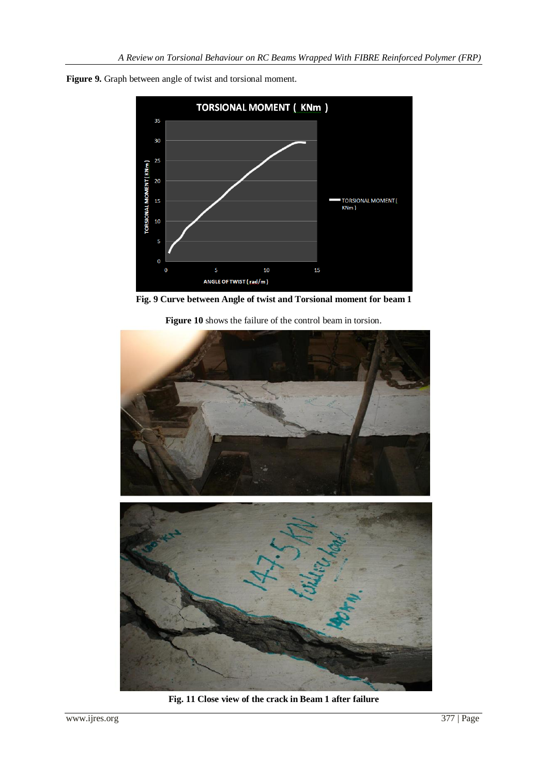

**Figure 9.** Graph between angle of twist and torsional moment.



**Figure 10** shows the failure of the control beam in torsion.



**Fig. 11 Close view of the crack in Beam 1 after failure**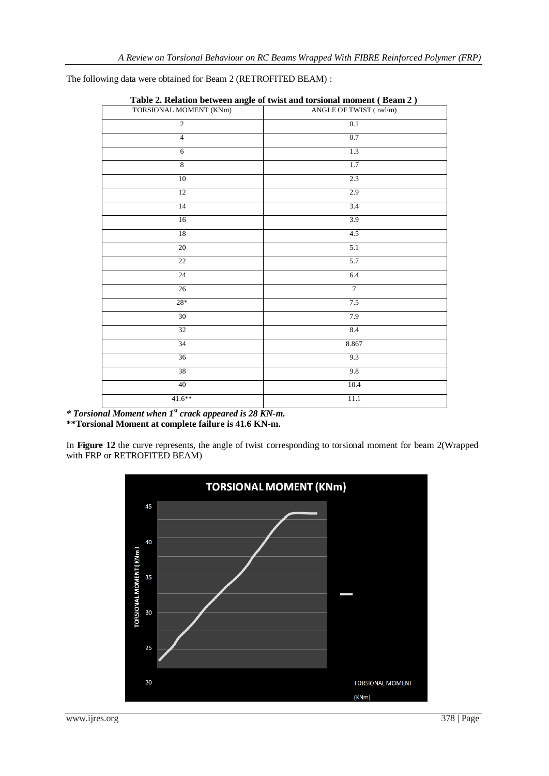The following data were obtained for Beam 2 (RETROFITED BEAM) :

| 0.<br>TORSIONAL MOMENT (KNm) | ╯<br>ANGLE OF TWIST (rad/m) |  |  |  |
|------------------------------|-----------------------------|--|--|--|
| $\overline{2}$               | $0.1\,$                     |  |  |  |
| $\overline{4}$               | 0.7                         |  |  |  |
| 6                            | 1.3                         |  |  |  |
| $\boldsymbol{8}$             | 1.7                         |  |  |  |
| 10                           | 2.3                         |  |  |  |
| 12                           | 2.9                         |  |  |  |
| 14                           | 3.4                         |  |  |  |
| 16                           | 3.9                         |  |  |  |
| 18                           | $4.5$                       |  |  |  |
| $\overline{20}$              | $\overline{5.1}$            |  |  |  |
| $\overline{22}$              | 5.7                         |  |  |  |
| 24                           | 6.4                         |  |  |  |
| 26                           | $\overline{7}$              |  |  |  |
| $28\mathrm{*}$               | 7.5                         |  |  |  |
| 30                           | 7.9                         |  |  |  |
| 32                           | $8.4\,$                     |  |  |  |
| 34                           | 8.867                       |  |  |  |
| $\overline{36}$              | 9.3                         |  |  |  |
| 38                           | 9.8                         |  |  |  |
| 40                           | 10.4                        |  |  |  |
| $41.6**$                     | $11.1\,$                    |  |  |  |
|                              |                             |  |  |  |

| Table 2. Relation between angle of twist and torsional moment (Beam 2) |  |  |  |
|------------------------------------------------------------------------|--|--|--|
|                                                                        |  |  |  |

*\* Torsional Moment when 1 st crack appeared is 28 KN-m.* **\*\*Torsional Moment at complete failure is 41.6 KN-m.**

In **Figure 12** the curve represents, the angle of twist corresponding to torsional moment for beam 2(Wrapped with FRP or RETROFITED BEAM)

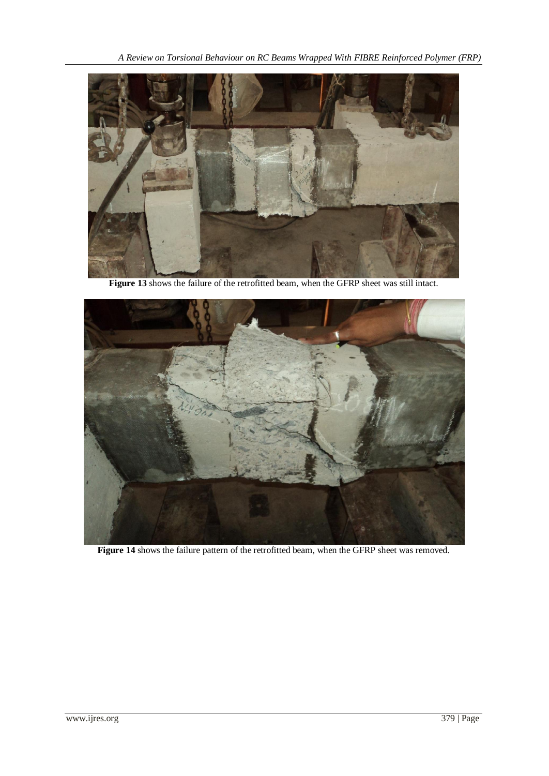

**Figure 13** shows the failure of the retrofitted beam, when the GFRP sheet was still intact.



**Figure 14** shows the failure pattern of the retrofitted beam, when the GFRP sheet was removed.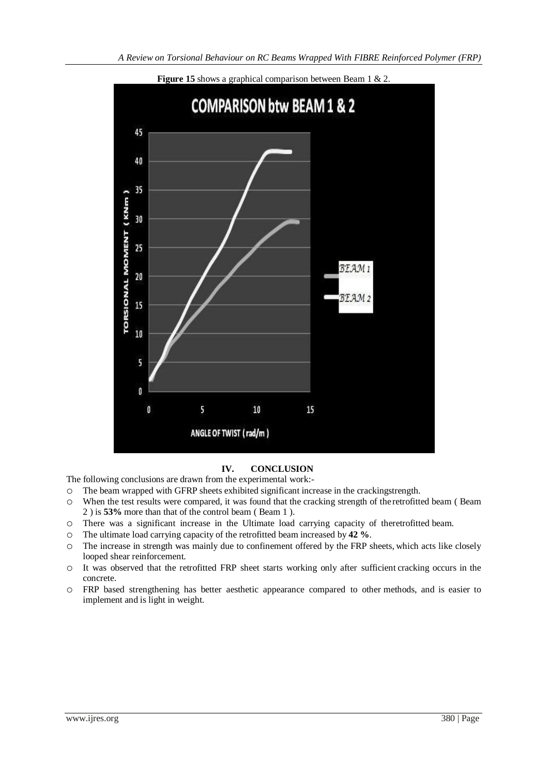

**Figure 15** shows a graphical comparison between Beam 1 & 2.

## **IV. CONCLUSION**

The following conclusions are drawn from the experimental work:-

- o The beam wrapped with GFRP sheets exhibited significant increase in the crackingstrength.
- o When the test results were compared, it was found that the cracking strength of theretrofitted beam ( Beam 2 ) is **53%** more than that of the control beam ( Beam 1 ).
- o There was a significant increase in the Ultimate load carrying capacity of theretrofitted beam.
- o The ultimate load carrying capacity of the retrofitted beam increased by **42 %**.
- o The increase in strength was mainly due to confinement offered by the FRP sheets, which acts like closely looped shear reinforcement.
- o It was observed that the retrofitted FRP sheet starts working only after sufficient cracking occurs in the concrete.
- o FRP based strengthening has better aesthetic appearance compared to other methods, and is easier to implement and is light in weight.